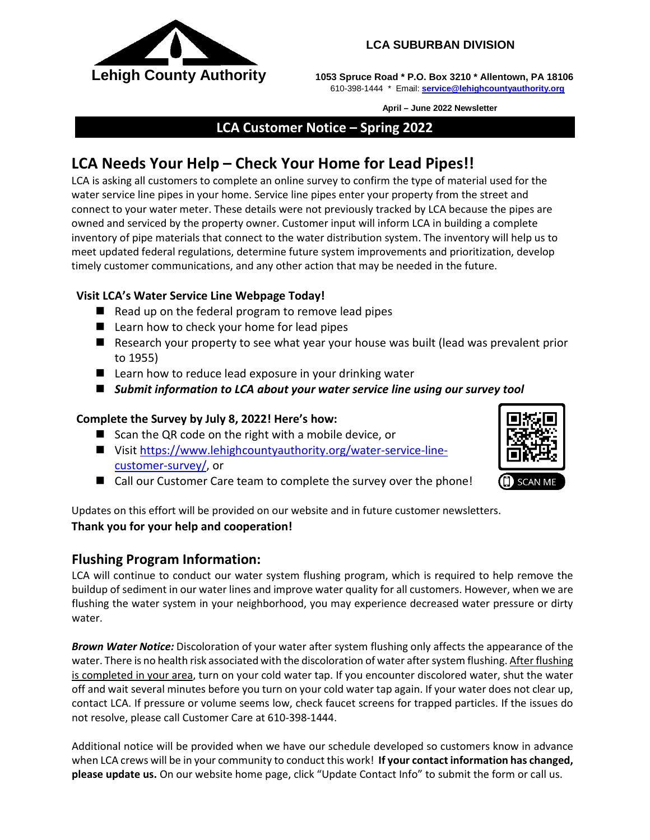

#### **LCA SUBURBAN DIVISION**

**Lehigh County Authority** 1053 Spruce Road \* P.O. Box 3210 \* Allentown, PA 18106 610-398-1444 \* Email: **[service@lehighcountyauthority.org](mailto:service@lehighcountyauthority.org)**

 **April – June 2022 Newsletter**

## **LCA Customer Notice – Spring 2022**

# **LCA Needs Your Help – Check Your Home for Lead Pipes!!**

LCA is asking all customers to complete an online survey to confirm the type of material used for the water service line pipes in your home. Service line pipes enter your property from the street and connect to your water meter. These details were not previously tracked by LCA because the pipes are owned and serviced by the property owner. Customer input will inform LCA in building a complete inventory of pipe materials that connect to the water distribution system. The inventory will help us to meet updated federal regulations, determine future system improvements and prioritization, develop timely customer communications, and any other action that may be needed in the future.

#### **Visit LCA's Water Service Line Webpage Today!**

- $\blacksquare$  Read up on the federal program to remove lead pipes
- Learn how to check your home for lead pipes
- Research your property to see what year your house was built (lead was prevalent prior to 1955)
- Learn how to reduce lead exposure in your drinking water
- *Submit information to LCA about your water service line using our survey tool*

## **Complete the Survey by July 8, 2022! Here's how:**

- Scan the QR code on the right with a mobile device, or
- Visi[t https://www.lehighcountyauthority.org/water-service-line](https://www.lehighcountyauthority.org/water-service-line-customer-survey/)[customer-survey/,](https://www.lehighcountyauthority.org/water-service-line-customer-survey/) or
- Call our Customer Care team to complete the survey over the phone!

Updates on this effort will be provided on our website and in future customer newsletters. **Thank you for your help and cooperation!**

# **Flushing Program Information:**

LCA will continue to conduct our water system flushing program, which is required to help remove the buildup of sediment in our water lines and improve water quality for all customers. However, when we are flushing the water system in your neighborhood, you may experience decreased water pressure or dirty water.

*Brown Water Notice:* Discoloration of your water after system flushing only affects the appearance of the water. There is no health risk associated with the discoloration of water after system flushing. After flushing is completed in your area, turn on your cold water tap. If you encounter discolored water, shut the water off and wait several minutes before you turn on your cold water tap again. If your water does not clear up, contact LCA. If pressure or volume seems low, check faucet screens for trapped particles. If the issues do not resolve, please call Customer Care at 610-398-1444.

Additional notice will be provided when we have our schedule developed so customers know in advance when LCA crews will be in your community to conduct this work! **If your contact information has changed, please update us.** On our website home page, click "Update Contact Info" to submit the form or call us.



**SCAN ME**